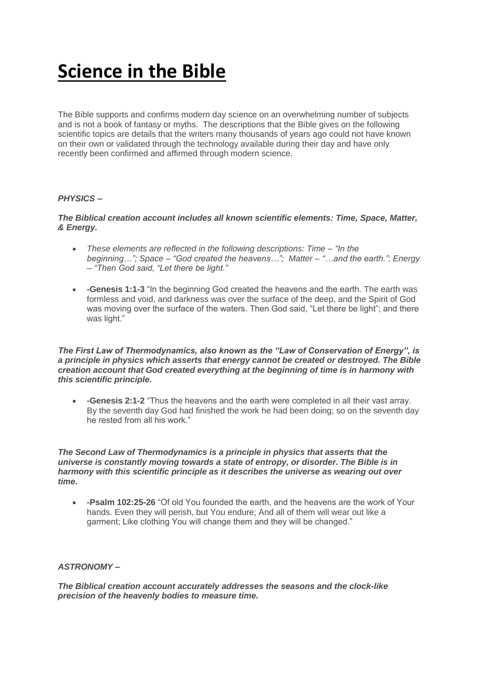# **Science in the Bible**

The Bible supports and confirms modern day science on an overwhelming number of subjects and is not a book of fantasy or myths. The descriptions that the Bible gives on the following scientific topics are details that the writers many thousands of years ago could not have known on their own or validated through the technology available during their day and have only recently been confirmed and affirmed through modern science.

# *PHYSICS –*

## *The Biblical creation account includes all known scientific elements: Time, Space, Matter, & Energy.*

- *These elements are reflected in the following descriptions: Time – "In the beginning…"; Space – "God created the heavens…"; Matter – "…and the earth."; Energy – "Then God said, "Let there be light."*
- **-Genesis 1:1-3** "In the beginning God created the heavens and the earth. The earth was formless and void, and darkness was over the surface of the deep, and the Spirit of God was moving over the surface of the waters. Then God said, "Let there be light"; and there was light."

#### *The First Law of Thermodynamics, also known as the "Law of Conservation of Energy", is a principle in physics which asserts that energy cannot be created or destroyed. The Bible creation account that God created everything at the beginning of time is in harmony with this scientific principle.*

 **-Genesis 2:1-2** "Thus the heavens and the earth were completed in all their vast array. By the seventh day God had finished the work he had been doing; so on the seventh day he rested from all his work."

#### *The Second Law of Thermodynamics is a principle in physics that asserts that the universe is constantly moving towards a state of entropy, or disorder. The Bible is in harmony with this scientific principle as it describes the universe as wearing out over time.*

 **-Psalm 102:25-26** "Of old You founded the earth, and the heavens are the work of Your hands. Even they will perish, but You endure; And all of them will wear out like a garment; Like clothing You will change them and they will be changed."

#### *ASTRONOMY –*

*The Biblical creation account accurately addresses the seasons and the clock-like precision of the heavenly bodies to measure time.*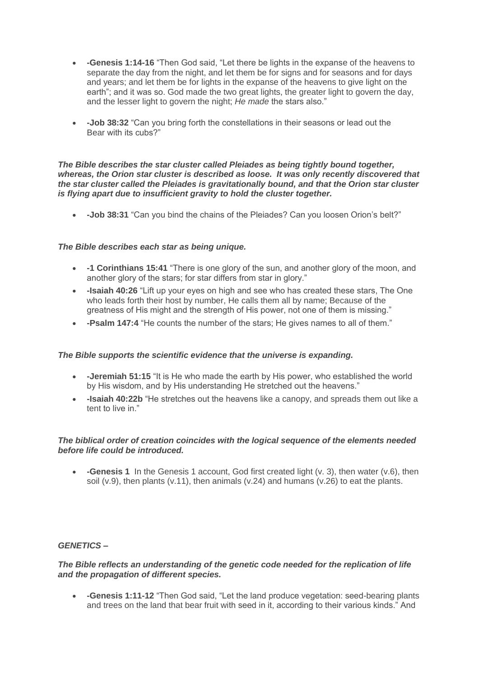- **-Genesis 1:14-16** "Then God said, "Let there be lights in the expanse of the heavens to separate the day from the night, and let them be for signs and for seasons and for days and years; and let them be for lights in the expanse of the heavens to give light on the earth"; and it was so. God made the two great lights, the greater light to govern the day, and the lesser light to govern the night; *He made* the stars also."
- **-Job 38:32** "Can you bring forth the constellations in their seasons or lead out the Bear with its cubs?"

#### *The Bible describes the star cluster called Pleiades as being tightly bound together, whereas, the Orion star cluster is described as loose. It was only recently discovered that the star cluster called the Pleiades is gravitationally bound, and that the Orion star cluster is flying apart due to insufficient gravity to hold the cluster together.*

**-Job 38:31** "Can you bind the chains of the Pleiades? Can you loosen Orion's belt?"

## *The Bible describes each star as being unique.*

- **-1 Corinthians 15:41** "There is one glory of the sun, and another glory of the moon, and another glory of the stars; for star differs from star in glory."
- **-Isaiah 40:26** "Lift up your eyes on high and see who has created these stars, The One who leads forth their host by number, He calls them all by name; Because of the greatness of His might and the strength of His power, not one of them is missing."
- **-Psalm 147:4** "He counts the number of the stars; He gives names to all of them."

#### *The Bible supports the scientific evidence that the universe is expanding.*

- **-Jeremiah 51:15** "It is He who made the earth by His power, who established the world by His wisdom, and by His understanding He stretched out the heavens."
- **-Isaiah 40:22b** "He stretches out the heavens like a canopy, and spreads them out like a tent to live in."

## *The biblical order of creation coincides with the logical sequence of the elements needed before life could be introduced.*

 **-Genesis 1** In the Genesis 1 account, God first created light (v. 3), then water (v.6), then soil  $(v.9)$ , then plants  $(v.11)$ , then animals  $(v.24)$  and humans  $(v.26)$  to eat the plants.

#### *GENETICS –*

#### *The Bible reflects an understanding of the genetic code needed for the replication of life and the propagation of different species.*

 **-Genesis 1:11-12** "Then God said, "Let the land produce vegetation: seed-bearing plants and trees on the land that bear fruit with seed in it, according to their various kinds." And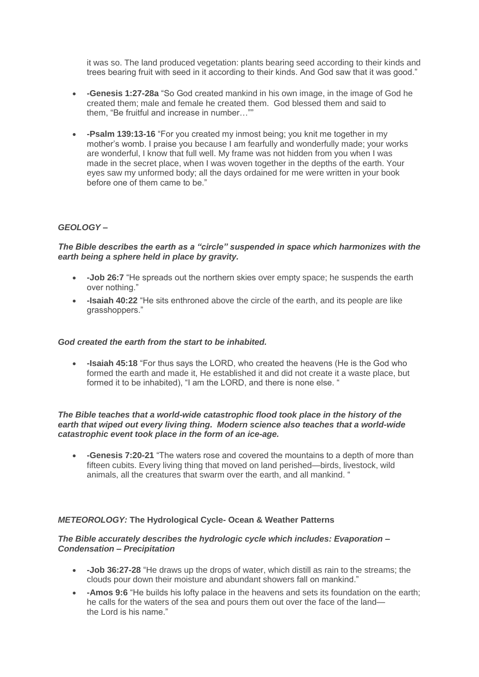it was so. The land produced vegetation: plants bearing seed according to their kinds and trees bearing fruit with seed in it according to their kinds. And God saw that it was good."

- **-Genesis 1:27-28a** "So God created mankind in his own image, in the image of God he created them; male and female he created them.God blessed them and said to them, "Be fruitful and increase in number…""
- **-Psalm 139:13-16** "For you created my inmost being; you knit me together in my mother's womb. I praise you because I am fearfully and wonderfully made; your works are wonderful, I know that full well. My frame was not hidden from you when I was made in the secret place, when I was woven together in the depths of the earth. Your eyes saw my unformed body; all the days ordained for me were written in your book before one of them came to be."

# *GEOLOGY –*

## *The Bible describes the earth as a "circle" suspended in space which harmonizes with the earth being a sphere held in place by gravity.*

- **-Job 26:7** "He spreads out the northern skies over empty space; he suspends the earth over nothing."
- **-Isaiah 40:22** "He sits enthroned above the circle of the earth, and its people are like grasshoppers."

#### *God created the earth from the start to be inhabited.*

 **-Isaiah 45:18** "For thus says the LORD, who created the heavens (He is the God who formed the earth and made it, He established it and did not create it a waste place, but formed it to be inhabited), "I am the LORD, and there is none else. "

#### *The Bible teaches that a world-wide catastrophic flood took place in the history of the earth that wiped out every living thing. Modern science also teaches that a world-wide catastrophic event took place in the form of an ice-age.*

 **-Genesis 7:20-21** "The waters rose and covered the mountains to a depth of more than fifteen cubits. Every living thing that moved on land perished—birds, livestock, wild animals, all the creatures that swarm over the earth, and all mankind. "

# *METEOROLOGY:* **The Hydrological Cycle- Ocean & Weather Patterns**

#### *The Bible accurately describes the hydrologic cycle which includes: Evaporation – Condensation – Precipitation*

- **-Job 36:27-28** "He draws up the drops of water, which distill as rain to the streams; the clouds pour down their moisture and abundant showers fall on mankind."
- **-Amos 9:6** "He builds his lofty palace in the heavens and sets its foundation on the earth; he calls for the waters of the sea and pours them out over the face of the land the Lord is his name."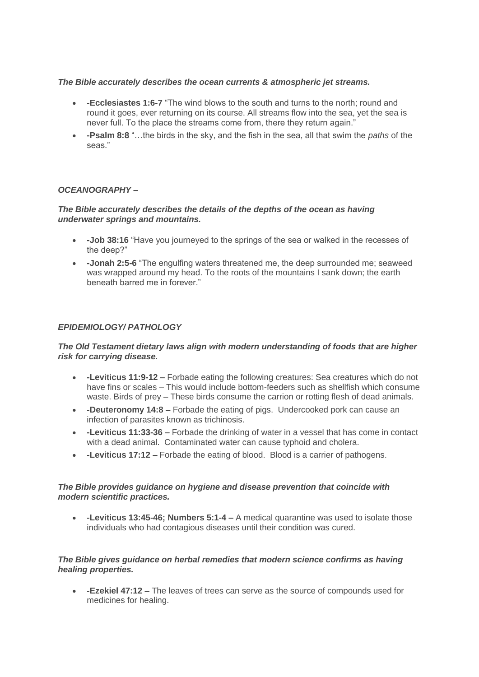#### *The Bible accurately describes the ocean currents & atmospheric jet streams.*

- **-Ecclesiastes 1:6-7** "The wind blows to the south and turns to the north; round and round it goes, ever returning on its course. All streams flow into the sea, yet the sea is never full. To the place the streams come from, there they return again."
- **-Psalm 8:8** "…the birds in the sky, and the fish in the sea, all that swim the *paths* of the seas."

# *OCEANOGRAPHY –*

#### *The Bible accurately describes the details of the depths of the ocean as having underwater springs and mountains.*

- **-Job 38:16** "Have you journeyed to the springs of the sea or walked in the recesses of the deep?"
- **-Jonah 2:5-6** "The engulfing waters threatened me, the deep surrounded me; seaweed was wrapped around my head. To the roots of the mountains I sank down; the earth beneath barred me in forever."

## *EPIDEMIOLOGY/ PATHOLOGY*

#### *The Old Testament dietary laws align with modern understanding of foods that are higher risk for carrying disease.*

- **-Leviticus 11:9-12 –** Forbade eating the following creatures: Sea creatures which do not have fins or scales – This would include bottom-feeders such as shellfish which consume waste. Birds of prey – These birds consume the carrion or rotting flesh of dead animals.
- **-Deuteronomy 14:8 –** Forbade the eating of pigs. Undercooked pork can cause an infection of parasites known as trichinosis.
- **-Leviticus 11:33-36 –** Forbade the drinking of water in a vessel that has come in contact with a dead animal. Contaminated water can cause typhoid and cholera.
- **-Leviticus 17:12 –** Forbade the eating of blood. Blood is a carrier of pathogens.

#### *The Bible provides guidance on hygiene and disease prevention that coincide with modern scientific practices.*

 **-Leviticus 13:45-46; Numbers 5:1-4 –** A medical quarantine was used to isolate those individuals who had contagious diseases until their condition was cured.

#### *The Bible gives guidance on herbal remedies that modern science confirms as having healing properties.*

 **-Ezekiel 47:12 –** The leaves of trees can serve as the source of compounds used for medicines for healing.